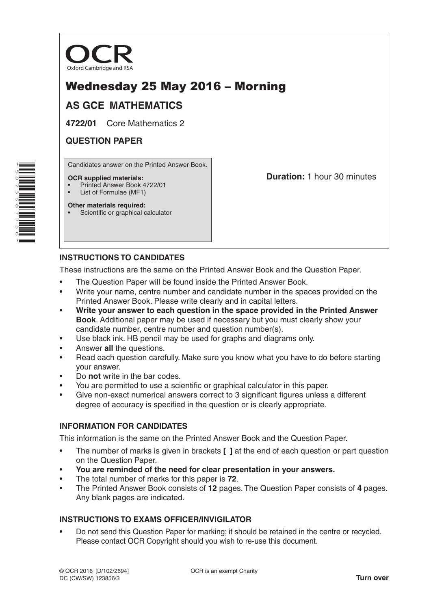

# Wednesday 25 May 2016 – Morning

# **AS GCE MATHEMATICS**

**4722/01** Core Mathematics 2

## **QUESTION PAPER**

Candidates answer on the Printed Answer Book.

#### **OCR supplied materials:**

- Printed Answer Book 4722/01
- List of Formulae (MF1)

**Other materials required:**

Scientific or graphical calculator

**Duration:** 1 hour 30 minutes

### **INSTRUCTIONS TO CANDIDATES**

These instructions are the same on the Printed Answer Book and the Question Paper.

- The Question Paper will be found inside the Printed Answer Book.
- Write your name, centre number and candidate number in the spaces provided on the Printed Answer Book. Please write clearly and in capital letters.
- **Write your answer to each question in the space provided in the Printed Answer Book**. Additional paper may be used if necessary but you must clearly show your candidate number, centre number and question number(s).
- Use black ink. HB pencil may be used for graphs and diagrams only.
- Answer **all** the questions.
- Read each question carefully. Make sure you know what you have to do before starting your answer.
- Do **not** write in the bar codes.
- You are permitted to use a scientific or graphical calculator in this paper.
- Give non-exact numerical answers correct to 3 significant figures unless a different degree of accuracy is specified in the question or is clearly appropriate.

### **INFORMATION FOR CANDIDATES**

This information is the same on the Printed Answer Book and the Question Paper.

- The number of marks is given in brackets **[ ]** at the end of each question or part question on the Question Paper.
- **You are reminded of the need for clear presentation in your answers.**
- The total number of marks for this paper is **72**.
- The Printed Answer Book consists of **12** pages. The Question Paper consists of **4** pages. Any blank pages are indicated.

### **INSTRUCTIONS TO EXAMS OFFICER/INVIGILATOR**

• Do not send this Question Paper for marking; it should be retained in the centre or recycled. Please contact OCR Copyright should you wish to re-use this document.

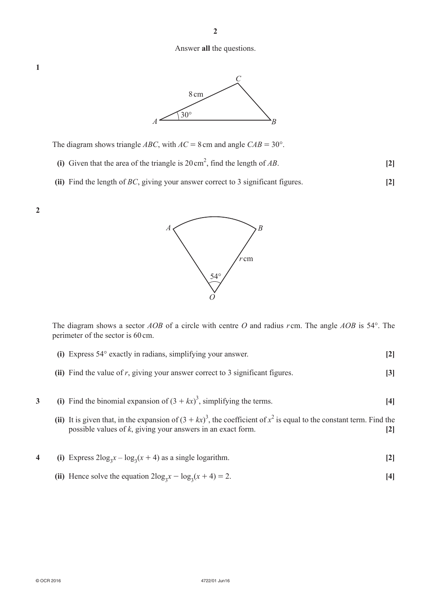#### Answer **all** the questions.



The diagram shows triangle *ABC*, with  $AC = 8$  cm and angle  $CAB = 30^{\circ}$ .

- **(i)** Given that the area of the triangle is  $20 \text{ cm}^2$ , find the length of *AB*. [2]
	- **(ii)** Find the length of *BC*, giving your answer correct to 3 significant figures. **[2]**



The diagram shows a sector *AOB* of a circle with centre *O* and radius *r* cm. The angle *AOB* is 54°. The perimeter of the sector is 60cm.

- **(i)** Express 54° exactly in radians, simplifying your answer. **[2]**
- **(ii)** Find the value of *r*, giving your answer correct to 3 significant figures. **[3]**
- **3** (i) Find the binomial expansion of  $(3 + kx)^3$ , simplifying the terms. [4]
- (ii) It is given that, in the expansion of  $(3 + kx)^3$ , the coefficient of  $x^2$  is equal to the constant term. Find the possible values of *k*, giving your answers in an exact form. **[2]**
- **4** (i) Express  $2\log_3 x \log_3(x + 4)$  as a single logarithm. **[2]**
- (ii) Hence solve the equation  $2\log_3 x \log_3(x + 4) = 2$ . [4]

**1**

**2**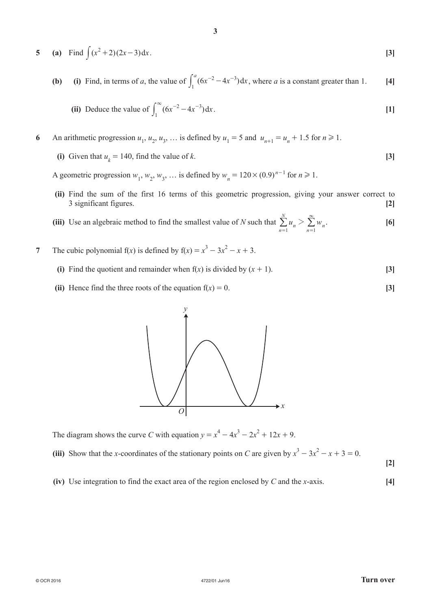5 (a) Find 
$$
\int (x^2 + 2)(2x - 3) dx
$$
. [3]

**3**

**(b)** (i) Find, in terms of a, the value of 
$$
\int_1^a (6x^{-2} - 4x^{-3}) dx
$$
, where a is a constant greater than 1. [4]

(ii) Deduce the value of 
$$
\int_{1}^{\infty} (6x^{-2} - 4x^{-3}) dx
$$
. [1]

# 6 An arithmetic progression  $u_1, u_2, u_3, \ldots$  is defined by  $u_1 = 5$  and  $u_{n+1} = u_n + 1.5$  for  $n \ge 1$ .

**(i)** Given that  $u_k = 140$ , find the value of *k*. **[3]** 

A geometric progression  $w_1$ ,  $w_2$ ,  $w_3$ , ... is defined by  $w_n = 120 \times (0.9)^{n-1}$  for  $n \ge 1$ .

- **(ii)** Find the sum of the first 16 terms of this geometric progression, giving your answer correct to 3 significant figures. **[2]**
- (iii) Use an algebraic method to find the smallest value of *N* such that  $\sum_{n=1}^{N} u_n > \sum_{n=1}^{\infty} w_n$  $n=1$  $> \sum_{\alpha}^{\infty}$  $\sum_{n=1}^{N} u_n > \sum_{n=1}^{\infty} w_n.$  [6]
- **7** The cubic polynomial  $f(x)$  is defined by  $f(x) = x^3 3x^2 x + 3$ .
	- **(i)** Find the quotient and remainder when  $f(x)$  is divided by  $(x + 1)$ . [3]
	- **(ii)** Hence find the three roots of the equation  $f(x) = 0$ . **[3]**



The diagram shows the curve *C* with equation  $y = x^4 - 4x^3 - 2x^2 + 12x + 9$ .

(iii) Show that the *x*-coordinates of the stationary points on *C* are given by  $x^3 - 3x^2 - x + 3 = 0$ .

**[2]**

 **(iv)**  Use integration to find the exact area of the region enclosed by *C* and the *x*-axis. **[4]**